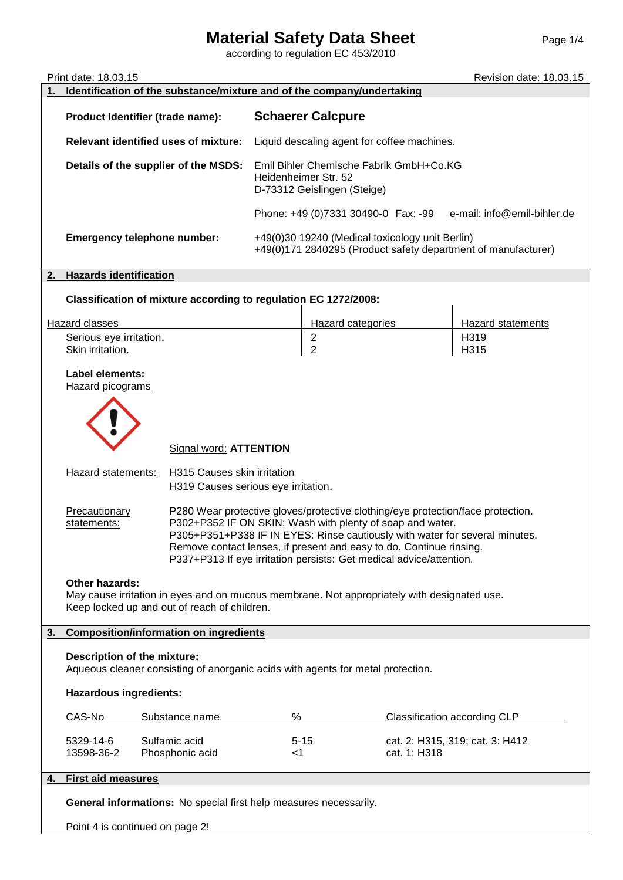## **Material Safety Data Sheet** Page 1/4

according to regulation EC 453/2010

|    | Print date: 18.03.15<br>Revision date: 18.03.15<br>Identification of the substance/mixture and of the company/undertaking                                                                                                                                                                                                                                                                                 |                                                                 |                                             |                                                                                                |              |                                                               |  |
|----|-----------------------------------------------------------------------------------------------------------------------------------------------------------------------------------------------------------------------------------------------------------------------------------------------------------------------------------------------------------------------------------------------------------|-----------------------------------------------------------------|---------------------------------------------|------------------------------------------------------------------------------------------------|--------------|---------------------------------------------------------------|--|
|    |                                                                                                                                                                                                                                                                                                                                                                                                           | Product Identifier (trade name):                                | <b>Schaerer Calcpure</b>                    |                                                                                                |              |                                                               |  |
|    | <b>Relevant identified uses of mixture:</b>                                                                                                                                                                                                                                                                                                                                                               |                                                                 | Liquid descaling agent for coffee machines. |                                                                                                |              |                                                               |  |
|    |                                                                                                                                                                                                                                                                                                                                                                                                           |                                                                 |                                             |                                                                                                |              |                                                               |  |
|    |                                                                                                                                                                                                                                                                                                                                                                                                           | Details of the supplier of the MSDS:                            |                                             | Emil Bihler Chemische Fabrik GmbH+Co.KG<br>Heidenheimer Str. 52<br>D-73312 Geislingen (Steige) |              |                                                               |  |
|    |                                                                                                                                                                                                                                                                                                                                                                                                           |                                                                 |                                             | Phone: +49 (0)7331 30490-0 Fax: -99                                                            |              | e-mail: info@emil-bihler.de                                   |  |
|    |                                                                                                                                                                                                                                                                                                                                                                                                           | <b>Emergency telephone number:</b>                              |                                             | +49(0)30 19240 (Medical toxicology unit Berlin)                                                |              | +49(0)171 2840295 (Product safety department of manufacturer) |  |
| 2. | <b>Hazards identification</b>                                                                                                                                                                                                                                                                                                                                                                             |                                                                 |                                             |                                                                                                |              |                                                               |  |
|    |                                                                                                                                                                                                                                                                                                                                                                                                           | Classification of mixture according to regulation EC 1272/2008: |                                             |                                                                                                |              |                                                               |  |
|    | Hazard classes                                                                                                                                                                                                                                                                                                                                                                                            |                                                                 |                                             | Hazard categories                                                                              |              | Hazard statements                                             |  |
|    | Serious eye irritation.                                                                                                                                                                                                                                                                                                                                                                                   |                                                                 |                                             | $\boldsymbol{2}$                                                                               |              | H319                                                          |  |
|    | Skin irritation.                                                                                                                                                                                                                                                                                                                                                                                          |                                                                 |                                             | $\overline{2}$                                                                                 |              | H315                                                          |  |
|    | Label elements:<br><b>Hazard picograms</b>                                                                                                                                                                                                                                                                                                                                                                |                                                                 |                                             |                                                                                                |              |                                                               |  |
|    | Signal word: <b>ATTENTION</b>                                                                                                                                                                                                                                                                                                                                                                             |                                                                 |                                             |                                                                                                |              |                                                               |  |
|    | H315 Causes skin irritation<br>Hazard statements:<br>H319 Causes serious eye irritation.                                                                                                                                                                                                                                                                                                                  |                                                                 |                                             |                                                                                                |              |                                                               |  |
|    | P280 Wear protective gloves/protective clothing/eye protection/face protection.<br>Precautionary<br>P302+P352 IF ON SKIN: Wash with plenty of soap and water.<br>statements:<br>P305+P351+P338 IF IN EYES: Rinse cautiously with water for several minutes.<br>Remove contact lenses, if present and easy to do. Continue rinsing.<br>P337+P313 If eye irritation persists: Get medical advice/attention. |                                                                 |                                             |                                                                                                |              |                                                               |  |
|    | <b>Other hazards:</b><br>May cause irritation in eyes and on mucous membrane. Not appropriately with designated use.<br>Keep locked up and out of reach of children.                                                                                                                                                                                                                                      |                                                                 |                                             |                                                                                                |              |                                                               |  |
| 3. | <b>Composition/information on ingredients</b>                                                                                                                                                                                                                                                                                                                                                             |                                                                 |                                             |                                                                                                |              |                                                               |  |
|    | Description of the mixture:<br>Aqueous cleaner consisting of anorganic acids with agents for metal protection.                                                                                                                                                                                                                                                                                            |                                                                 |                                             |                                                                                                |              |                                                               |  |
|    | <b>Hazardous ingredients:</b>                                                                                                                                                                                                                                                                                                                                                                             |                                                                 |                                             |                                                                                                |              |                                                               |  |
|    | CAS-No                                                                                                                                                                                                                                                                                                                                                                                                    | Substance name                                                  | %                                           |                                                                                                |              | Classification according CLP                                  |  |
|    | 5329-14-6<br>13598-36-2                                                                                                                                                                                                                                                                                                                                                                                   | Sulfamic acid<br>Phosphonic acid                                | <1                                          | $5 - 15$                                                                                       | cat. 1: H318 | cat. 2: H315, 319; cat. 3: H412                               |  |
| 4. | <b>First aid measures</b>                                                                                                                                                                                                                                                                                                                                                                                 |                                                                 |                                             |                                                                                                |              |                                                               |  |
|    | General informations: No special first help measures necessarily.                                                                                                                                                                                                                                                                                                                                         |                                                                 |                                             |                                                                                                |              |                                                               |  |
|    | Point 4 is continued on page 2!                                                                                                                                                                                                                                                                                                                                                                           |                                                                 |                                             |                                                                                                |              |                                                               |  |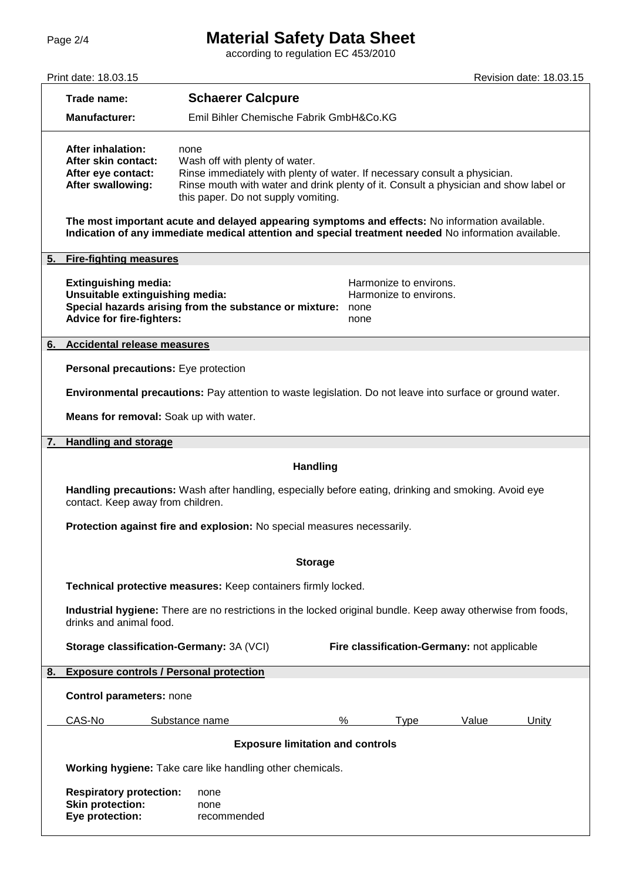## Page 2/4 **Material Safety Data Sheet**

according to regulation EC 453/2010

|    | Print date: 18.03.15                                                                                                                                                                                   |                                                                                                                                                                                                                                                    |                                                                  |       | Revision date: 18.03.15 |  |  |  |
|----|--------------------------------------------------------------------------------------------------------------------------------------------------------------------------------------------------------|----------------------------------------------------------------------------------------------------------------------------------------------------------------------------------------------------------------------------------------------------|------------------------------------------------------------------|-------|-------------------------|--|--|--|
|    | Trade name:                                                                                                                                                                                            | <b>Schaerer Calcpure</b>                                                                                                                                                                                                                           |                                                                  |       |                         |  |  |  |
|    | <b>Manufacturer:</b>                                                                                                                                                                                   | Emil Bihler Chemische Fabrik GmbH&Co.KG                                                                                                                                                                                                            |                                                                  |       |                         |  |  |  |
|    | <b>After inhalation:</b><br>After skin contact:<br>After eye contact:<br>After swallowing:                                                                                                             | none<br>Wash off with plenty of water.<br>Rinse immediately with plenty of water. If necessary consult a physician.<br>Rinse mouth with water and drink plenty of it. Consult a physician and show label or<br>this paper. Do not supply vomiting. |                                                                  |       |                         |  |  |  |
|    | The most important acute and delayed appearing symptoms and effects: No information available.<br>Indication of any immediate medical attention and special treatment needed No information available. |                                                                                                                                                                                                                                                    |                                                                  |       |                         |  |  |  |
|    | 5. Fire-fighting measures                                                                                                                                                                              |                                                                                                                                                                                                                                                    |                                                                  |       |                         |  |  |  |
|    | <b>Extinguishing media:</b><br>Unsuitable extinguishing media:<br><b>Advice for fire-fighters:</b>                                                                                                     | Special hazards arising from the substance or mixture:                                                                                                                                                                                             | Harmonize to environs.<br>Harmonize to environs.<br>none<br>none |       |                         |  |  |  |
| 6. | <b>Accidental release measures</b>                                                                                                                                                                     |                                                                                                                                                                                                                                                    |                                                                  |       |                         |  |  |  |
|    | Personal precautions: Eye protection                                                                                                                                                                   |                                                                                                                                                                                                                                                    |                                                                  |       |                         |  |  |  |
|    |                                                                                                                                                                                                        | Environmental precautions: Pay attention to waste legislation. Do not leave into surface or ground water.                                                                                                                                          |                                                                  |       |                         |  |  |  |
|    |                                                                                                                                                                                                        | Means for removal: Soak up with water.                                                                                                                                                                                                             |                                                                  |       |                         |  |  |  |
| 7. | <b>Handling and storage</b>                                                                                                                                                                            |                                                                                                                                                                                                                                                    |                                                                  |       |                         |  |  |  |
|    |                                                                                                                                                                                                        | <b>Handling</b>                                                                                                                                                                                                                                    |                                                                  |       |                         |  |  |  |
|    | Handling precautions: Wash after handling, especially before eating, drinking and smoking. Avoid eye<br>contact. Keep away from children.                                                              |                                                                                                                                                                                                                                                    |                                                                  |       |                         |  |  |  |
|    | Protection against fire and explosion: No special measures necessarily.                                                                                                                                |                                                                                                                                                                                                                                                    |                                                                  |       |                         |  |  |  |
|    | <b>Storage</b>                                                                                                                                                                                         |                                                                                                                                                                                                                                                    |                                                                  |       |                         |  |  |  |
|    |                                                                                                                                                                                                        | Technical protective measures: Keep containers firmly locked.                                                                                                                                                                                      |                                                                  |       |                         |  |  |  |
|    | Industrial hygiene: There are no restrictions in the locked original bundle. Keep away otherwise from foods,<br>drinks and animal food.                                                                |                                                                                                                                                                                                                                                    |                                                                  |       |                         |  |  |  |
|    | Fire classification-Germany: not applicable<br>Storage classification-Germany: 3A (VCI)                                                                                                                |                                                                                                                                                                                                                                                    |                                                                  |       |                         |  |  |  |
| 8. | <b>Exposure controls / Personal protection</b>                                                                                                                                                         |                                                                                                                                                                                                                                                    |                                                                  |       |                         |  |  |  |
|    | <b>Control parameters: none</b>                                                                                                                                                                        |                                                                                                                                                                                                                                                    |                                                                  |       |                         |  |  |  |
|    | CAS-No                                                                                                                                                                                                 | Substance name                                                                                                                                                                                                                                     | $\%$<br>Type                                                     | Value | Unity                   |  |  |  |
|    | <b>Exposure limitation and controls</b>                                                                                                                                                                |                                                                                                                                                                                                                                                    |                                                                  |       |                         |  |  |  |
|    | Working hygiene: Take care like handling other chemicals.                                                                                                                                              |                                                                                                                                                                                                                                                    |                                                                  |       |                         |  |  |  |
|    | <b>Respiratory protection:</b><br>none<br><b>Skin protection:</b><br>none<br>Eye protection:<br>recommended                                                                                            |                                                                                                                                                                                                                                                    |                                                                  |       |                         |  |  |  |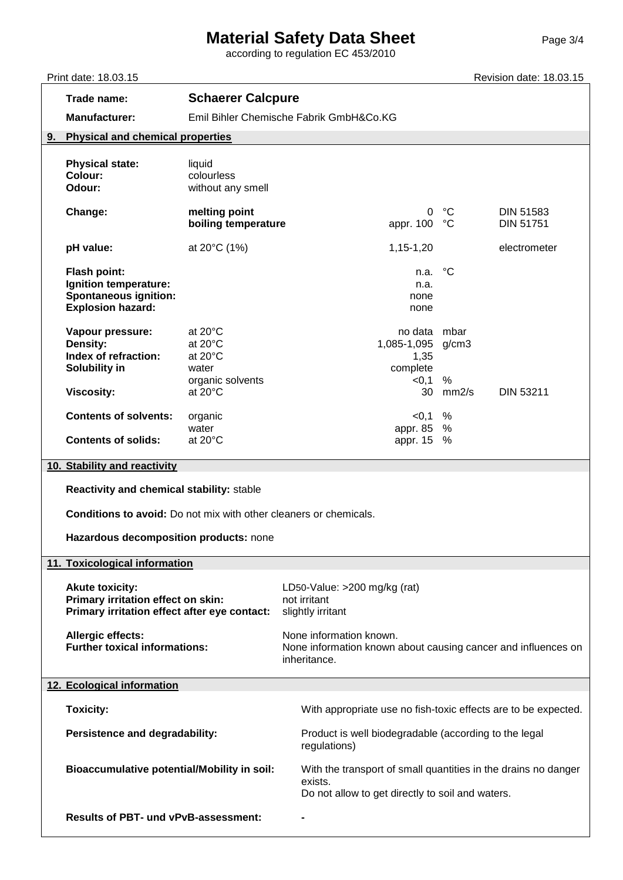## **Material Safety Data Sheet** Page 3/4

according to regulation EC 453/2010

Print date: 18.03.15 **Prince 2.18.03.15** Revision date: 18.03.15 **Trade name: Schaerer Calcpure Manufacturer:** Emil Bihler Chemische Fabrik GmbH&Co.KG **9. Physical and chemical properties Physical state:** liquid **Colour:** colourless **Odour:** without any smell **Change: melting point** 0 °C DIN 51583<br> **boiling temperature** appr. 100 °C DIN 51751 **boiling temperature boiling temperature appr. 100** °C DIN 51751 **pH value:** at 20°C (1%) and a set 20°C (1%) and a set 20°C (1%) and a set 20°C (1%) and a set 20°C (1%) and a set 20°C (1%) and a set 20°C (1%) and a set 20°C (1%) and a set 20°C (1%) and a set 20°C (1%) and a set 20°C (1 **Flash point:** n.a. °C **Ignition temperature:**  $n.a.$ **Spontaneous ignition:** none **Explosion hazard:** none and **hazard:** none and **hazard:** none and **hazard:** none **Vapour pressure:** at 20°C **no at a construct of the matter of the matter of the matter of the matter of the matter of the matter of the matter of the matter of the matter of the matter of the matter of the matter of the m Density:** at 20°C 1,085-1,095 g/cm3 **Index of refraction:** at 20°C 1,35 **Solubility in** water **complete** complete organic solvents  $\leq 0.1$  % **Viscosity:** at 20°C 30 mm2/s DIN 53211 **Contents of solvents:** organic  $\sim$  0.1 % water water appr. 85 % **Contents of solids:** at 20°C appr. 15 % **10. Stability and reactivity Reactivity and chemical stability:** stable **Conditions to avoid:** Do not mix with other cleaners or chemicals. **Hazardous decomposition products:** none **11. Toxicological information** Akute toxicity:  $LD50-V$ alue: >200 mg/kg (rat) **Primary irritation effect on skin:** not irritant **Primary irritation effect after eye contact:** slightly irritant Allergic effects: None information known. **Further toxical informations:** None information known about causing cancer and influences on inheritance. **12. Ecological information Toxicity:** Toxicity: Toxicity: Toxicity:  $\blacksquare$  With appropriate use no fish-toxic effects are to be expected. **Persistence and degradability:** Product is well biodegradable (according to the legal regulations) **Bioaccumulative potential/Mobility in soil:** With the transport of small quantities in the drains no danger exists. Do not allow to get directly to soil and waters. **Results of PBT- und vPvB-assessment: -**